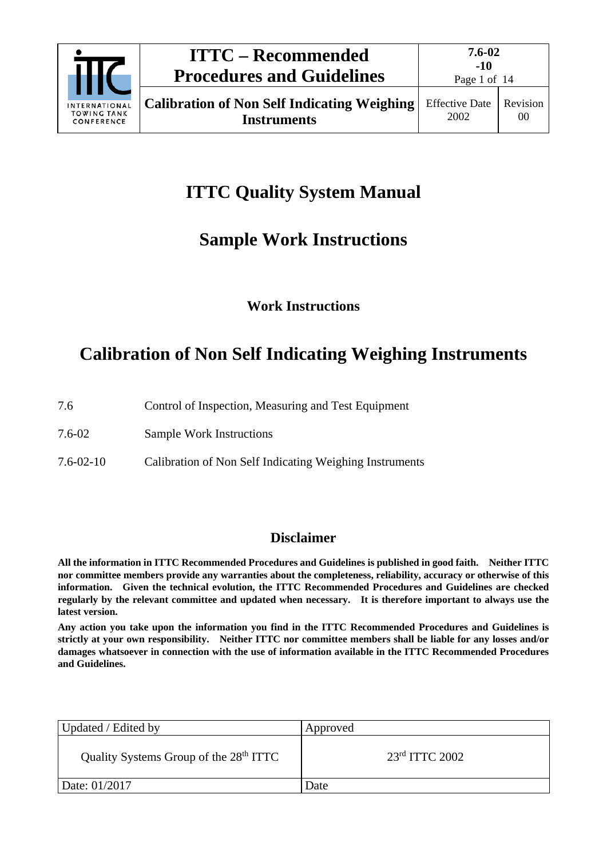

**7.6-02**

# **ITTC Quality System Manual**

## **Sample Work Instructions**

## **Work Instructions**

# **Calibration of Non Self Indicating Weighing Instruments**

| 7.6 |  | Control of Inspection, Measuring and Test Equipment |
|-----|--|-----------------------------------------------------|
|     |  |                                                     |

7.6-02 Sample Work Instructions

7.6-02-10 Calibration of Non Self Indicating Weighing Instruments

## **Disclaimer**

**All the information in ITTC Recommended Procedures and Guidelines is published in good faith. Neither ITTC nor committee members provide any warranties about the completeness, reliability, accuracy or otherwise of this information. Given the technical evolution, the ITTC Recommended Procedures and Guidelines are checked regularly by the relevant committee and updated when necessary. It is therefore important to always use the latest version.**

**Any action you take upon the information you find in the ITTC Recommended Procedures and Guidelines is strictly at your own responsibility. Neither ITTC nor committee members shall be liable for any losses and/or damages whatsoever in connection with the use of information available in the ITTC Recommended Procedures and Guidelines.**

| Updated / Edited by                                | Approved         |
|----------------------------------------------------|------------------|
| Quality Systems Group of the 28 <sup>th</sup> ITTC | $23rd$ ITTC 2002 |
| Date: 01/2017                                      | Date             |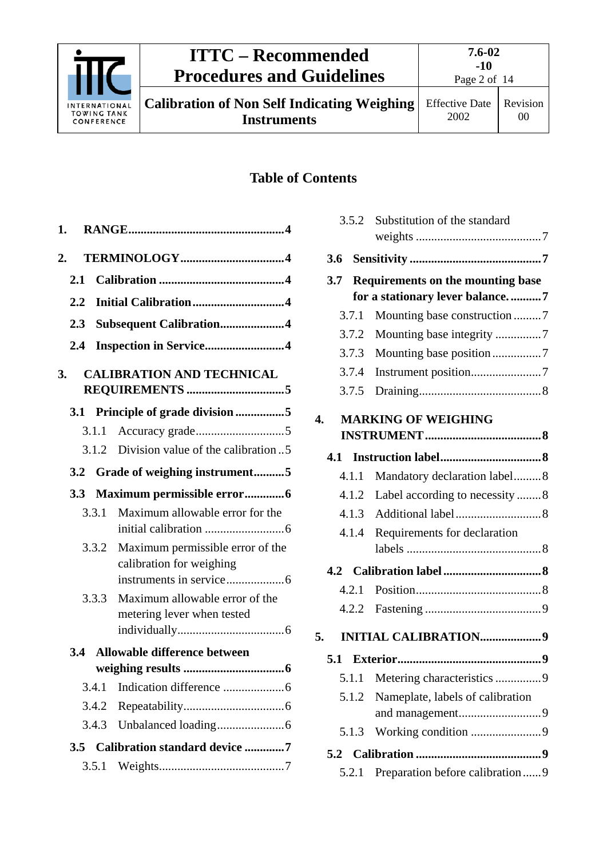

# **ITTC – Recommended Procedures and Guidelines**

**Instruments**

**Calibration of Non Self Indicating Weighing** 

Page 2 of 14

## **Table of Contents**

| 1.      |       |                                                              |
|---------|-------|--------------------------------------------------------------|
| 2.      |       |                                                              |
| 2.1     |       |                                                              |
| $2.2\,$ |       | Initial Calibration4                                         |
| 2.3     |       | Subsequent Calibration4                                      |
| 2.4     |       | Inspection in Service4                                       |
| 3.      |       | <b>CALIBRATION AND TECHNICAL</b>                             |
| 3.1     |       | Principle of grade division 5                                |
|         | 3.1.1 |                                                              |
|         | 3.1.2 | Division value of the calibration5                           |
| 3.2     |       | Grade of weighing instrument5                                |
| 3.3     |       | Maximum permissible error6                                   |
|         | 3.3.1 | Maximum allowable error for the                              |
|         | 3.3.2 | Maximum permissible error of the<br>calibration for weighing |
|         | 3.3.3 | Maximum allowable error of the<br>metering lever when tested |
| 3.4     |       | Allowable difference between                                 |
|         |       |                                                              |
|         | 3.4.1 |                                                              |
|         | 3.4.2 |                                                              |
|         | 3.4.3 |                                                              |
| 3.5     |       | Calibration standard device 7                                |
|         | 3.5.1 |                                                              |

|     | 3.5.2 | Substitution of the standard             |
|-----|-------|------------------------------------------|
|     |       |                                          |
| 3.6 |       |                                          |
| 3.7 |       | <b>Requirements on the mounting base</b> |
|     |       | for a stationary lever balance7          |
|     | 3.7.1 | Mounting base construction7              |
|     | 3.7.2 |                                          |
|     | 3.7.3 | Mounting base position7                  |
|     | 3.7.4 |                                          |
|     | 3.7.5 |                                          |
| 4.  |       | <b>MARKING OF WEIGHING</b>               |
|     |       |                                          |
| 4.1 |       |                                          |
|     | 4.1.1 | Mandatory declaration label8             |
|     | 4.1.2 | Label according to necessity 8           |
|     |       |                                          |
|     | 4.1.4 | Requirements for declaration             |
|     |       |                                          |
|     |       |                                          |
|     | 4.2.1 |                                          |
|     |       |                                          |
| 5.  |       | <b>INITIAL CALIBRATION9</b>              |
| 5.1 |       |                                          |
|     |       |                                          |
|     | 5.1.1 | Metering characteristics 9               |
|     | 5.1.2 | Nameplate, labels of calibration         |
|     | 5.1.3 |                                          |
|     |       |                                          |
|     | 5.2.1 | Preparation before calibration  9        |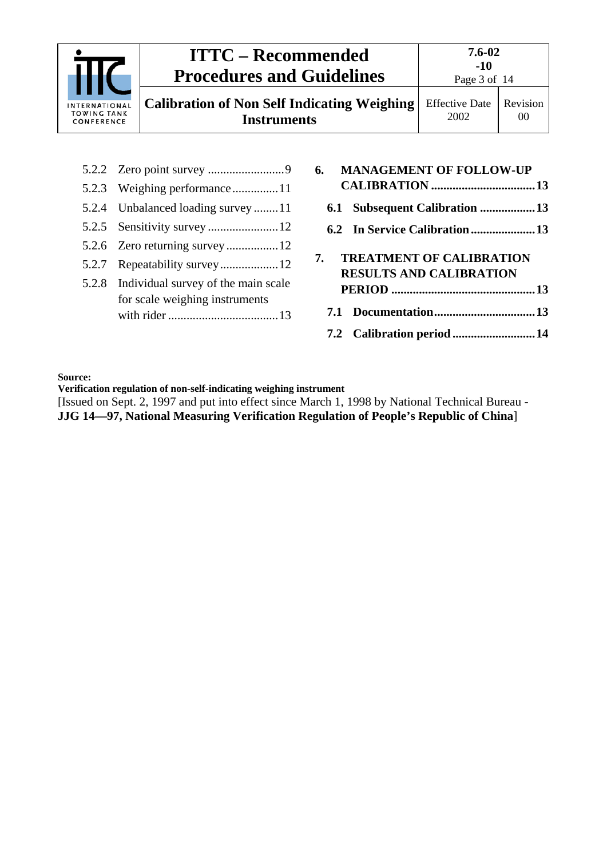

|  | 7. TREATMENT OF CALIBRATION<br><b>RESULTS AND CALIBRATION</b> |  |
|--|---------------------------------------------------------------|--|
|  |                                                               |  |
|  |                                                               |  |
|  | 7.2 Calibration period  14                                    |  |

**Source:**

**Verification regulation of non-self-indicating weighing instrument**

5.2.7 [Repeatability survey...................12](#page-11-2) 5.2.8 [Individual survey of the main scale](#page-12-0)  [for scale weighing instruments](#page-12-0)  with rider [....................................13](#page-12-0)

[Issued on Sept. 2, 1997 and put into effect since March 1, 1998 by National Technical Bureau - **JJG 14—97, National Measuring Verification Regulation of People's Republic of China**]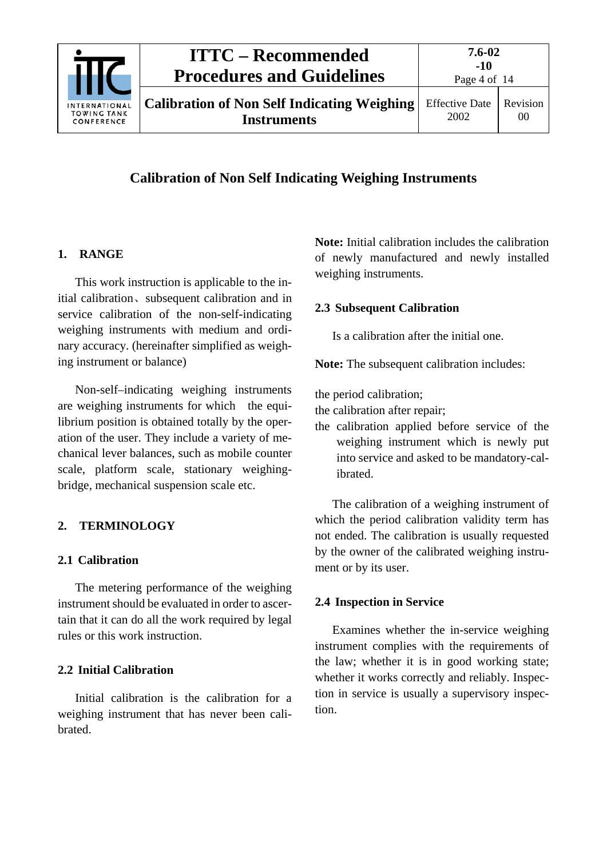

## **Calibration of Non Self Indicating Weighing Instruments**

#### <span id="page-3-0"></span>**1. RANGE**

This work instruction is applicable to the initial calibration、subsequent calibration and in service calibration of the non-self-indicating weighing instruments with medium and ordinary accuracy. (hereinafter simplified as weighing instrument or balance)

Non-self–indicating weighing instruments are weighing instruments for which the equilibrium position is obtained totally by the operation of the user. They include a variety of mechanical lever balances, such as mobile counter scale, platform scale, stationary weighingbridge, mechanical suspension scale etc.

#### <span id="page-3-2"></span><span id="page-3-1"></span>**2. TERMINOLOGY**

#### **2.1 Calibration**

The metering performance of the weighing instrument should be evaluated in order to ascertain that it can do all the work required by legal rules or this work instruction.

#### <span id="page-3-3"></span>**2.2 Initial Calibration**

Initial calibration is the calibration for a weighing instrument that has never been calibrated.

**Note:** Initial calibration includes the calibration of newly manufactured and newly installed weighing instruments.

#### <span id="page-3-4"></span>**2.3 Subsequent Calibration**

Is a calibration after the initial one.

**Note:** The subsequent calibration includes:

the period calibration;

the calibration after repair;

the calibration applied before service of the weighing instrument which is newly put into service and asked to be mandatory-calibrated.

The calibration of a weighing instrument of which the period calibration validity term has not ended. The calibration is usually requested by the owner of the calibrated weighing instrument or by its user.

#### <span id="page-3-5"></span>**2.4 Inspection in Service**

Examines whether the in-service weighing instrument complies with the requirements of the law; whether it is in good working state; whether it works correctly and reliably. Inspection in service is usually a supervisory inspection.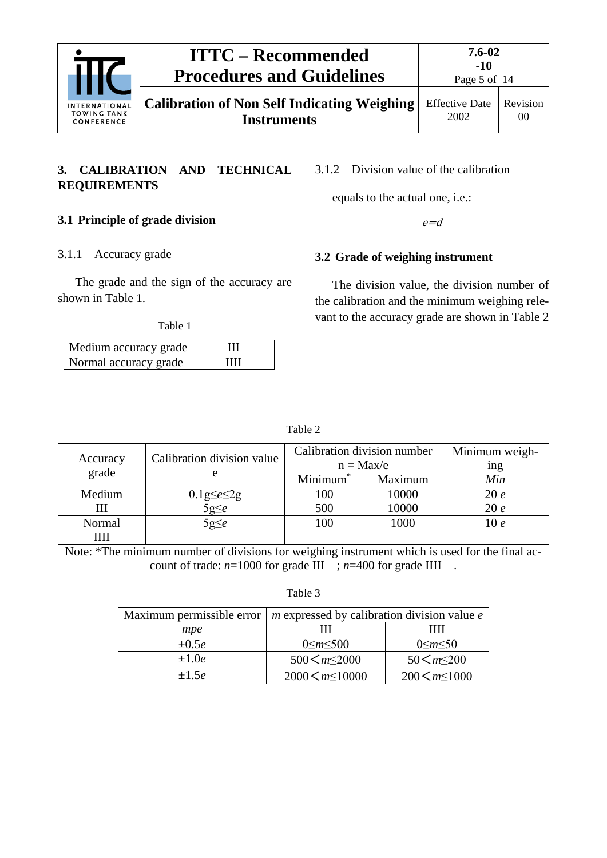

**Calibration of Non Self Indicating Weighing Instruments**

Page 5 of 14 Effective Date

2002 Revision 00

#### <span id="page-4-0"></span>**3. CALIBRATION AND TECHNICAL REQUIREMENTS**

<span id="page-4-3"></span>3.1.2 Division value of the calibration

equals to the actual one, i.e.:

#### <span id="page-4-2"></span><span id="page-4-1"></span>**3.1 Principle of grade division**

 $e = d$ 

#### 3.1.1 Accuracy grade

The grade and the sign of the accuracy are shown in Table 1.

Table 1

| Medium accuracy grade |   |
|-----------------------|---|
| Normal accuracy grade | ш |

### <span id="page-4-4"></span>**3.2 Grade of weighing instrument**

The division value, the division number of the calibration and the minimum weighing relevant to the accuracy grade are shown in Table 2

| abie |  |
|------|--|
|      |  |

| Accuracy<br>grade                                                                              | Calibration division value<br>e          | Calibration division number<br>$n = Max/e$ |         | Minimum weigh-<br>ing |
|------------------------------------------------------------------------------------------------|------------------------------------------|--------------------------------------------|---------|-----------------------|
|                                                                                                |                                          | Minimum <sup>*</sup>                       | Maximum | Min                   |
| Medium                                                                                         |                                          | 100                                        | 10000   | 20e                   |
| Ш                                                                                              | $0.1$ g $\leq e \leq 2$ g<br>5g $\leq e$ | 500                                        | 10000   | 20e                   |
| Normal                                                                                         | $5g \leq e$                              | 100                                        | 1000    | 10e                   |
| Ш                                                                                              |                                          |                                            |         |                       |
| Note: *The minimum number of divisions for weighing instrument which is used for the final ac- |                                          |                                            |         |                       |
| count of trade: $n=1000$ for grade III ; $n=400$ for grade IIII                                |                                          |                                            |         |                       |

Table 3

| Maximum permissible error | $m$ expressed by calibration division value $e$ |                        |  |
|---------------------------|-------------------------------------------------|------------------------|--|
| mpe                       |                                                 | ''''                   |  |
| $\pm 0.5e$                | $0 \le m \le 500$                               | $0 \le m \le 50$       |  |
| $\pm 1.0e$                | 500 $\leq m \leq 2000$                          | 50 $\leq m \leq 200$   |  |
| $+1.5e$                   | $2000 \leq m \leq 10000$                        | $200 \leq m \leq 1000$ |  |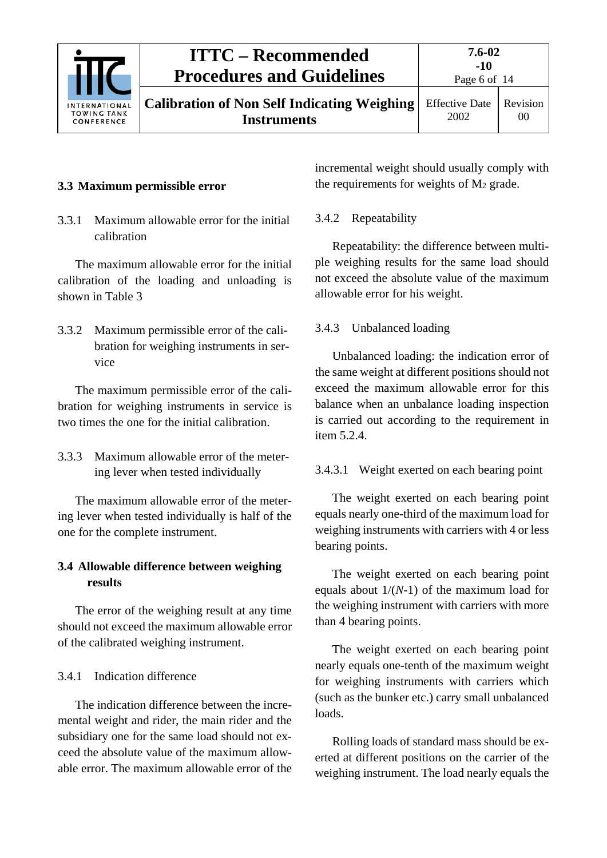

# **ITTC – Recommended Procedures and Guidelines**

**Calibration of Non Self Indicating Weighing Instruments**

## <span id="page-5-1"></span><span id="page-5-0"></span>**3.3 Maximum permissible error**

3.3.1 Maximum allowable error for the initial calibration

The maximum allowable error for the initial calibration of the loading and unloading is shown in Table 3

<span id="page-5-2"></span>3.3.2 Maximum permissible error of the calibration for weighing instruments in service

The maximum permissible error of the calibration for weighing instruments in service is two times the one for the initial calibration.

<span id="page-5-3"></span>3.3.3 Maximum allowable error of the metering lever when tested individually

The maximum allowable error of the metering lever when tested individually is half of the one for the complete instrument.

#### <span id="page-5-4"></span>**3.4 Allowable difference between weighing results**

The error of the weighing result at any time should not exceed the maximum allowable error of the calibrated weighing instrument.

#### <span id="page-5-5"></span>3.4.1 Indication difference

The indication difference between the incremental weight and rider, the main rider and the subsidiary one for the same load should not exceed the absolute value of the maximum allowable error. The maximum allowable error of the incremental weight should usually comply with the requirements for weights of  $M_2$  grade.

## <span id="page-5-6"></span>3.4.2 Repeatability

Repeatability: the difference between multiple weighing results for the same load should not exceed the absolute value of the maximum allowable error for his weight.

## <span id="page-5-7"></span>3.4.3 Unbalanced loading

Unbalanced loading: the indication error of the same weight at different positions should not exceed the maximum allowable error for this balance when an unbalance loading inspection is carried out according to the requirement in item 5.2.4.

## 3.4.3.1 Weight exerted on each bearing point

The weight exerted on each bearing point equals nearly one-third of the maximum load for weighing instruments with carriers with 4 or less bearing points.

The weight exerted on each bearing point equals about 1/(*N*-1) of the maximum load for the weighing instrument with carriers with more than 4 bearing points.

The weight exerted on each bearing point nearly equals one-tenth of the maximum weight for weighing instruments with carriers which (such as the bunker etc.) carry small unbalanced loads.

Rolling loads of standard mass should be exerted at different positions on the carrier of the weighing instrument. The load nearly equals the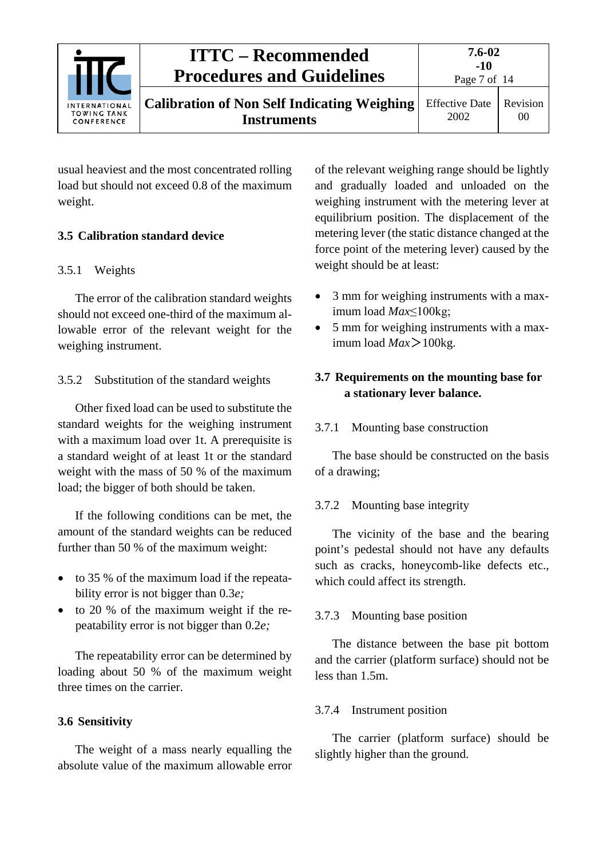

**Calibration of Non Self Indicating Weighing Instruments**

Page 7 of 14

usual heaviest and the most concentrated rolling load but should not exceed 0.8 of the maximum weight.

## <span id="page-6-1"></span><span id="page-6-0"></span>**3.5 Calibration standard device**

## 3.5.1 Weights

The error of the calibration standard weights should not exceed one-third of the maximum allowable error of the relevant weight for the weighing instrument.

## <span id="page-6-2"></span>3.5.2 Substitution of the standard weights

Other fixed load can be used to substitute the standard weights for the weighing instrument with a maximum load over 1t. A prerequisite is a standard weight of at least 1t or the standard weight with the mass of 50 % of the maximum load; the bigger of both should be taken.

If the following conditions can be met, the amount of the standard weights can be reduced further than 50 % of the maximum weight:

- to 35 % of the maximum load if the repeatability error is not bigger than 0.3*e;*
- to 20 % of the maximum weight if the repeatability error is not bigger than 0.2*e;*

The repeatability error can be determined by loading about 50 % of the maximum weight three times on the carrier.

## <span id="page-6-3"></span>**3.6 Sensitivity**

The weight of a mass nearly equalling the absolute value of the maximum allowable error of the relevant weighing range should be lightly and gradually loaded and unloaded on the weighing instrument with the metering lever at equilibrium position. The displacement of the metering lever (the static distance changed at the force point of the metering lever) caused by the weight should be at least:

- 3 mm for weighing instruments with a maximum load *Max*≤100kg;
- 5 mm for weighing instruments with a maximum load *Max*>100kg.

## <span id="page-6-4"></span>**3.7 Requirements on the mounting base for a stationary lever balance.**

## <span id="page-6-5"></span>3.7.1 Mounting base construction

The base should be constructed on the basis of a drawing;

## <span id="page-6-6"></span>3.7.2 Mounting base integrity

The vicinity of the base and the bearing point's pedestal should not have any defaults such as cracks, honeycomb-like defects etc., which could affect its strength.

## <span id="page-6-7"></span>3.7.3 Mounting base position

The distance between the base pit bottom and the carrier (platform surface) should not be less than 1.5m.

## <span id="page-6-8"></span>3.7.4 Instrument position

The carrier (platform surface) should be slightly higher than the ground.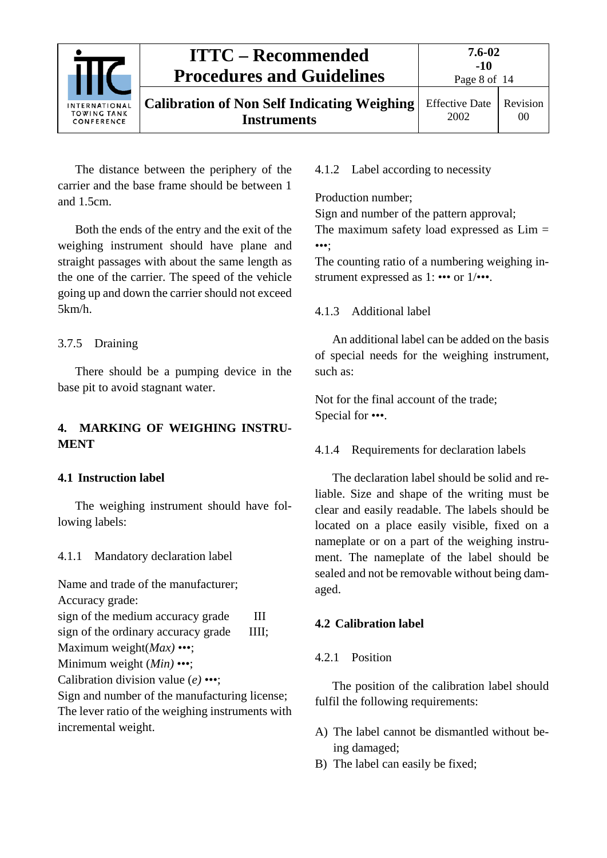

The distance between the periphery of the carrier and the base frame should be between 1 and 1.5cm.

Both the ends of the entry and the exit of the weighing instrument should have plane and straight passages with about the same length as the one of the carrier. The speed of the vehicle going up and down the carrier should not exceed 5km/h.

#### <span id="page-7-0"></span>3.7.5 Draining

There should be a pumping device in the base pit to avoid stagnant water.

#### <span id="page-7-1"></span>**4. MARKING OF WEIGHING INSTRU-MENT**

#### <span id="page-7-2"></span>**4.1 Instruction label**

The weighing instrument should have following labels:

<span id="page-7-3"></span>4.1.1 Mandatory declaration label

Name and trade of the manufacturer;

Accuracy grade:

sign of the medium accuracy grade III

sign of the ordinary accuracy grade IIII;

Maximum weight(*Max)* •••; Minimum weight (*Min)* •••;

Calibration division value (*e)* •••;

Sign and number of the manufacturing license; The lever ratio of the weighing instruments with incremental weight.

<span id="page-7-4"></span>4.1.2 Label according to necessity

Production number;

Sign and number of the pattern approval; The maximum safety load expressed as  $Lim =$ •••;

The counting ratio of a numbering weighing instrument expressed as 1: ••• or 1/•••.

#### <span id="page-7-5"></span>4.1.3 Additional label

An additional label can be added on the basis of special needs for the weighing instrument, such as:

Not for the final account of the trade; Special for •••.

<span id="page-7-6"></span>4.1.4 Requirements for declaration labels

The declaration label should be solid and reliable. Size and shape of the writing must be clear and easily readable. The labels should be located on a place easily visible, fixed on a nameplate or on a part of the weighing instrument. The nameplate of the label should be sealed and not be removable without being damaged.

#### <span id="page-7-8"></span><span id="page-7-7"></span>**4.2 Calibration label**

#### 4.2.1 Position

The position of the calibration label should fulfil the following requirements:

- A) The label cannot be dismantled without being damaged;
- B) The label can easily be fixed;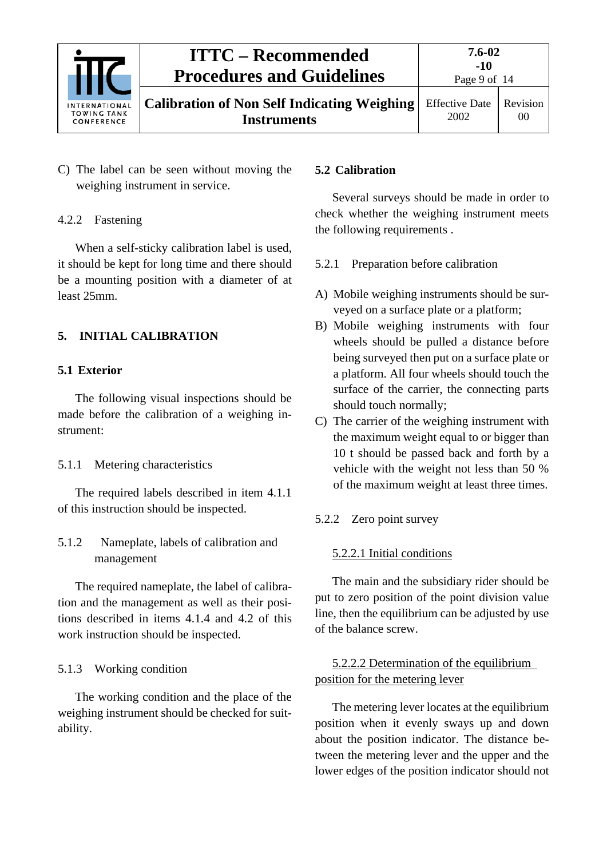

C) The label can be seen without moving the weighing instrument in service.

#### <span id="page-8-0"></span>4.2.2 Fastening

When a self-sticky calibration label is used, it should be kept for long time and there should be a mounting position with a diameter of at least 25mm.

#### <span id="page-8-2"></span><span id="page-8-1"></span>**5. INITIAL CALIBRATION**

#### **5.1 Exterior**

The following visual inspections should be made before the calibration of a weighing instrument:

#### <span id="page-8-3"></span>5.1.1 Metering characteristics

The required labels described in item 4.1.1 of this instruction should be inspected.

<span id="page-8-4"></span>5.1.2 Nameplate, labels of calibration and management

The required nameplate, the label of calibration and the management as well as their positions described in items 4.1.4 and 4.2 of this work instruction should be inspected.

#### <span id="page-8-5"></span>5.1.3 Working condition

The working condition and the place of the weighing instrument should be checked for suitability.

#### <span id="page-8-6"></span>**5.2 Calibration**

Several surveys should be made in order to check whether the weighing instrument meets the following requirements .

#### <span id="page-8-7"></span>5.2.1 Preparation before calibration

- A) Mobile weighing instruments should be surveyed on a surface plate or a platform;
- B) Mobile weighing instruments with four wheels should be pulled a distance before being surveyed then put on a surface plate or a platform. All four wheels should touch the surface of the carrier, the connecting parts should touch normally;
- C) The carrier of the weighing instrument with the maximum weight equal to or bigger than 10 t should be passed back and forth by a vehicle with the weight not less than 50 % of the maximum weight at least three times.

#### <span id="page-8-8"></span>5.2.2 Zero point survey

#### 5.2.2.1 Initial conditions

The main and the subsidiary rider should be put to zero position of the point division value line, then the equilibrium can be adjusted by use of the balance screw.

#### 5.2.2.2 Determination of the equilibrium position for the metering lever

The metering lever locates at the equilibrium position when it evenly sways up and down about the position indicator. The distance between the metering lever and the upper and the lower edges of the position indicator should not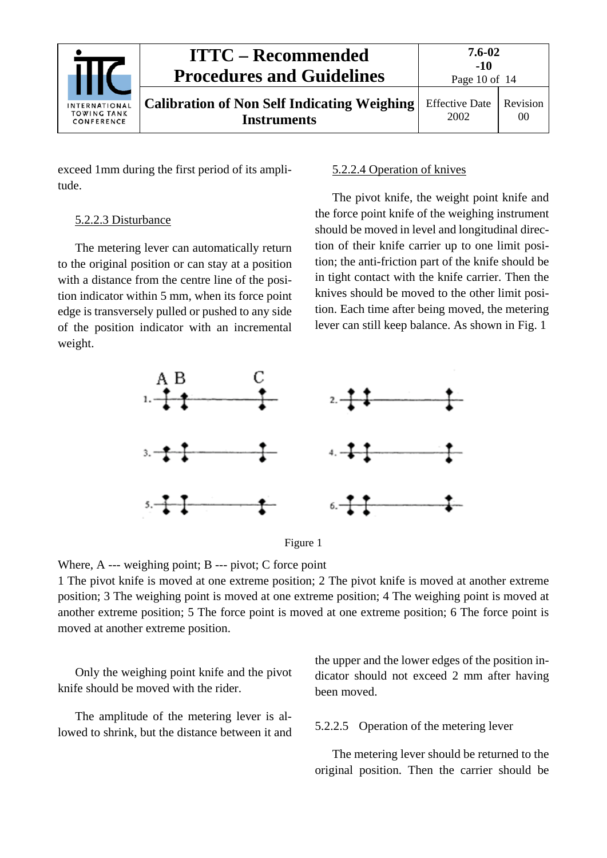

exceed 1mm during the first period of its amplitude.

#### 5.2.2.3 Disturbance

The metering lever can automatically return to the original position or can stay at a position with a distance from the centre line of the position indicator within 5 mm, when its force point edge is transversely pulled or pushed to any side of the position indicator with an incremental weight.

#### 5.2.2.4 Operation of knives

The pivot knife, the weight point knife and the force point knife of the weighing instrument should be moved in level and longitudinal direction of their knife carrier up to one limit position; the anti-friction part of the knife should be in tight contact with the knife carrier. Then the knives should be moved to the other limit position. Each time after being moved, the metering lever can still keep balance. As shown in Fig. 1



Figure 1

Where, A --- weighing point; B --- pivot; C force point

1 The pivot knife is moved at one extreme position; 2 The pivot knife is moved at another extreme position; 3 The weighing point is moved at one extreme position; 4 The weighing point is moved at another extreme position; 5 The force point is moved at one extreme position; 6 The force point is moved at another extreme position.

Only the weighing point knife and the pivot knife should be moved with the rider.

The amplitude of the metering lever is allowed to shrink, but the distance between it and

the upper and the lower edges of the position indicator should not exceed 2 mm after having been moved.

#### 5.2.2.5 Operation of the metering lever

The metering lever should be returned to the original position. Then the carrier should be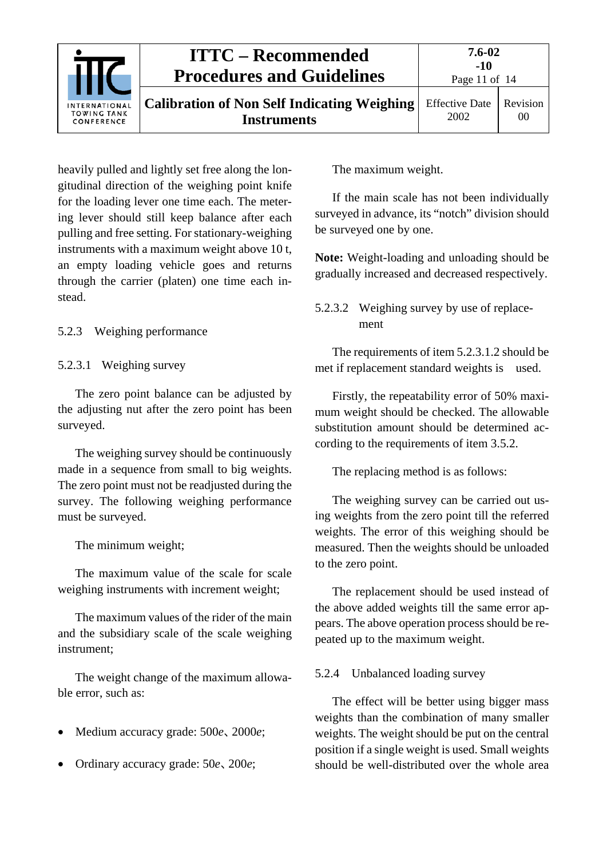| <b>INTERNATIONAL</b><br><b>TOWING TANK</b><br>CONFERENCE | <b>ITTC – Recommended</b><br><b>Procedures and Guidelines</b>            | 7.6-02<br>$-10$<br>Page 11 of $14$ |                            |
|----------------------------------------------------------|--------------------------------------------------------------------------|------------------------------------|----------------------------|
|                                                          | <b>Calibration of Non Self Indicating Weighing</b><br><b>Instruments</b> | <b>Effective Date</b><br>2002      | Revision<br>0 <sup>0</sup> |

heavily pulled and lightly set free along the longitudinal direction of the weighing point knife for the loading lever one time each. The metering lever should still keep balance after each pulling and free setting. For stationary-weighing instruments with a maximum weight above 10 t, an empty loading vehicle goes and returns through the carrier (platen) one time each instead.

<span id="page-10-0"></span>5.2.3 Weighing performance

#### 5.2.3.1 Weighing survey

The zero point balance can be adjusted by the adjusting nut after the zero point has been surveyed.

The weighing survey should be continuously made in a sequence from small to big weights. The zero point must not be readjusted during the survey. The following weighing performance must be surveyed.

The minimum weight;

The maximum value of the scale for scale weighing instruments with increment weight;

The maximum values of the rider of the main and the subsidiary scale of the scale weighing instrument;

The weight change of the maximum allowable error, such as:

- Medium accuracy grade: 500*e*、2000*e*;
- Ordinary accuracy grade: 50*e*、200*e*;

The maximum weight.

If the main scale has not been individually surveyed in advance, its "notch" division should be surveyed one by one.

**Note:** Weight-loading and unloading should be gradually increased and decreased respectively.

## 5.2.3.2 Weighing survey by use of replacement

The requirements of item 5.2.3.1.2 should be met if replacement standard weights is used.

Firstly, the repeatability error of 50% maximum weight should be checked. The allowable substitution amount should be determined according to the requirements of item 3.5.2.

The replacing method is as follows:

The weighing survey can be carried out using weights from the zero point till the referred weights. The error of this weighing should be measured. Then the weights should be unloaded to the zero point.

The replacement should be used instead of the above added weights till the same error appears. The above operation process should be repeated up to the maximum weight.

#### <span id="page-10-1"></span>5.2.4 Unbalanced loading survey

The effect will be better using bigger mass weights than the combination of many smaller weights. The weight should be put on the central position if a single weight is used. Small weights should be well-distributed over the whole area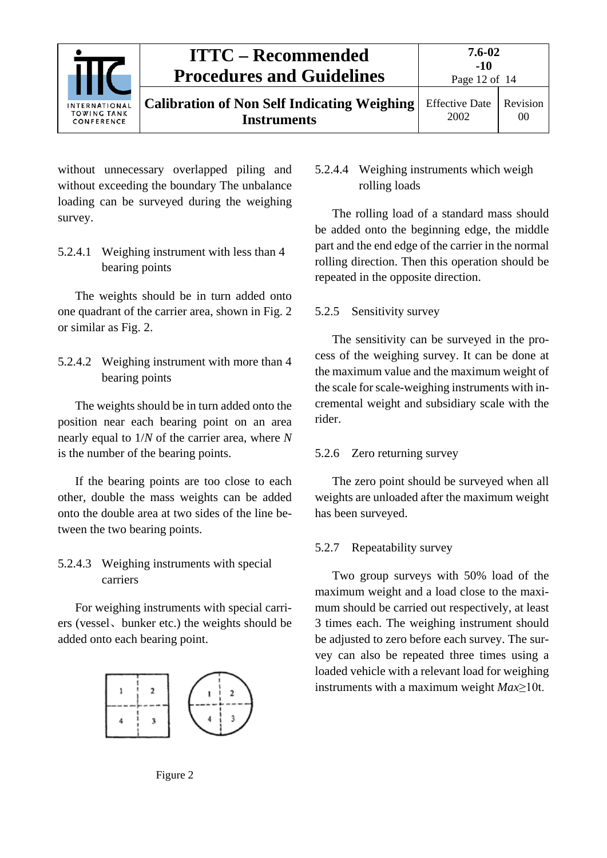

without unnecessary overlapped piling and without exceeding the boundary The unbalance loading can be surveyed during the weighing survey.

5.2.4.1 Weighing instrument with less than 4 bearing points

The weights should be in turn added onto one quadrant of the carrier area, shown in Fig. 2 or similar as Fig. 2.

5.2.4.2 Weighing instrument with more than 4 bearing points

The weights should be in turn added onto the position near each bearing point on an area nearly equal to 1/*N* of the carrier area, where *N* is the number of the bearing points.

If the bearing points are too close to each other, double the mass weights can be added onto the double area at two sides of the line between the two bearing points.

#### 5.2.4.3 Weighing instruments with special carriers

For weighing instruments with special carriers (vessel、bunker etc.) the weights should be added onto each bearing point.



#### 5.2.4.4 Weighing instruments which weigh rolling loads

The rolling load of a standard mass should be added onto the beginning edge, the middle part and the end edge of the carrier in the normal rolling direction. Then this operation should be repeated in the opposite direction.

#### <span id="page-11-0"></span>5.2.5 Sensitivity survey

The sensitivity can be surveyed in the process of the weighing survey. It can be done at the maximum value and the maximum weight of the scale for scale-weighing instruments with incremental weight and subsidiary scale with the rider.

#### <span id="page-11-1"></span>5.2.6 Zero returning survey

The zero point should be surveyed when all weights are unloaded after the maximum weight has been surveyed.

#### <span id="page-11-2"></span>5.2.7 Repeatability survey

Two group surveys with 50% load of the maximum weight and a load close to the maximum should be carried out respectively, at least 3 times each. The weighing instrument should be adjusted to zero before each survey. The survey can also be repeated three times using a loaded vehicle with a relevant load for weighing instruments with a maximum weight *Max*≥10t.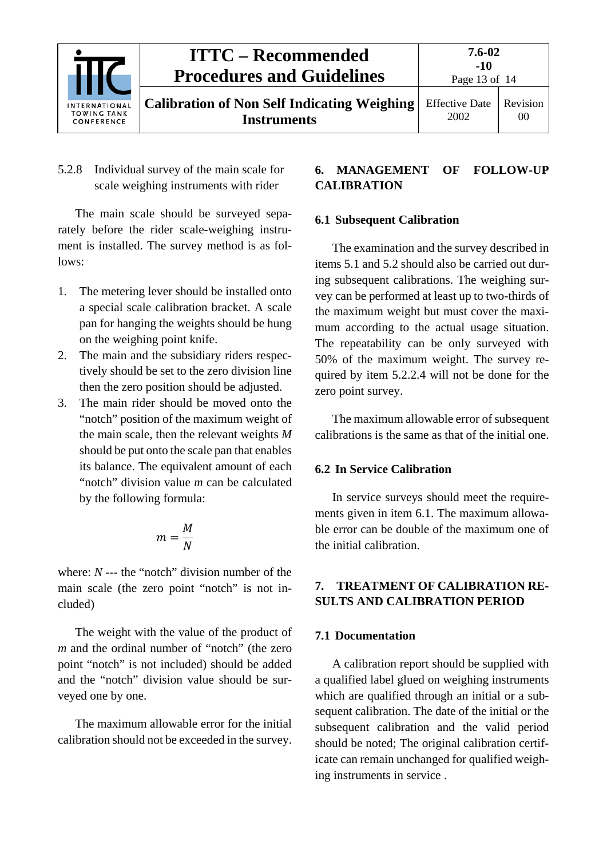

<span id="page-12-0"></span>5.2.8 Individual survey of the main scale for scale weighing instruments with rider

The main scale should be surveyed separately before the rider scale-weighing instrument is installed. The survey method is as follows:

- 1. The metering lever should be installed onto a special scale calibration bracket. A scale pan for hanging the weights should be hung on the weighing point knife.
- 2. The main and the subsidiary riders respectively should be set to the zero division line then the zero position should be adjusted.
- 3. The main rider should be moved onto the "notch" position of the maximum weight of the main scale, then the relevant weights *M* should be put onto the scale pan that enables its balance. The equivalent amount of each "notch" division value *m* can be calculated by the following formula:

$$
m=\frac{M}{N}
$$

where: *N* --- the "notch" division number of the main scale (the zero point "notch" is not included)

The weight with the value of the product of *m* and the ordinal number of "notch" (the zero point "notch" is not included) should be added and the "notch" division value should be surveyed one by one.

The maximum allowable error for the initial calibration should not be exceeded in the survey.

#### <span id="page-12-1"></span>**6. MANAGEMENT OF FOLLOW-UP CALIBRATION**

#### <span id="page-12-2"></span>**6.1 Subsequent Calibration**

The examination and the survey described in items 5.1 and 5.2 should also be carried out during subsequent calibrations. The weighing survey can be performed at least up to two-thirds of the maximum weight but must cover the maximum according to the actual usage situation. The repeatability can be only surveyed with 50% of the maximum weight. The survey required by item 5.2.2.4 will not be done for the zero point survey.

The maximum allowable error of subsequent calibrations is the same as that of the initial one.

#### <span id="page-12-3"></span>**6.2 In Service Calibration**

In service surveys should meet the requirements given in item 6.1. The maximum allowable error can be double of the maximum one of the initial calibration.

#### <span id="page-12-4"></span>**7. TREATMENT OF CALIBRATION RE-SULTS AND CALIBRATION PERIOD**

#### <span id="page-12-5"></span>**7.1 Documentation**

A calibration report should be supplied with a qualified label glued on weighing instruments which are qualified through an initial or a subsequent calibration. The date of the initial or the subsequent calibration and the valid period should be noted; The original calibration certificate can remain unchanged for qualified weighing instruments in service .